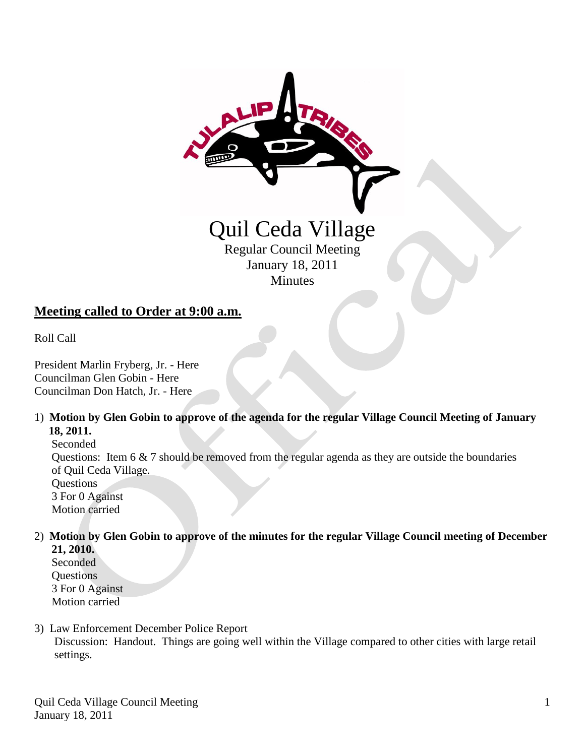

Minutes

# **Meeting called to Order at 9:00 a.m.**

Roll Call

President Marlin Fryberg, Jr. - Here Councilman Glen Gobin - Here Councilman Don Hatch, Jr. - Here

1) **Motion by Glen Gobin to approve of the agenda for the regular Village Council Meeting of January 18, 2011.**

Seconded Questions: Item 6 & 7 should be removed from the regular agenda as they are outside the boundaries of Quil Ceda Village. **Questions**  3 For 0 Against Motion carried

- 2) **Motion by Glen Gobin to approve of the minutes for the regular Village Council meeting of December 21, 2010.**
	- Seconded **Ouestions**  3 For 0 Against Motion carried
- 3) Law Enforcement December Police Report Discussion: Handout. Things are going well within the Village compared to other cities with large retail settings.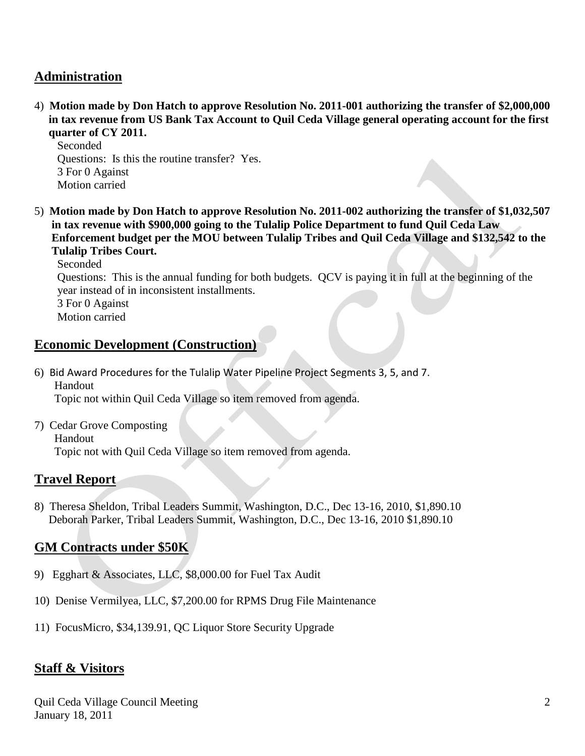### **Administration**

4) **Motion made by Don Hatch to approve Resolution No. 2011-001 authorizing the transfer of \$2,000,000 in tax revenue from US Bank Tax Account to Quil Ceda Village general operating account for the first quarter of CY 2011.**

 Seconded Questions: Is this the routine transfer? Yes. 3 For 0 Against Motion carried

5) **Motion made by Don Hatch to approve Resolution No. 2011-002 authorizing the transfer of \$1,032,507 in tax revenue with \$900,000 going to the Tulalip Police Department to fund Quil Ceda Law Enforcement budget per the MOU between Tulalip Tribes and Quil Ceda Village and \$132,542 to the Tulalip Tribes Court.**

Seconded

 Questions: This is the annual funding for both budgets. QCV is paying it in full at the beginning of the year instead of in inconsistent installments.

 3 For 0 Against Motion carried

### **Economic Development (Construction)**

- 6) Bid Award Procedures for the Tulalip Water Pipeline Project Segments 3, 5, and 7. Handout Topic not within Quil Ceda Village so item removed from agenda.
- 7) Cedar Grove Composting Handout Topic not with Quil Ceda Village so item removed from agenda.

#### **Travel Report**

8) Theresa Sheldon, Tribal Leaders Summit, Washington, D.C., Dec 13-16, 2010, \$1,890.10 Deborah Parker, Tribal Leaders Summit, Washington, D.C., Dec 13-16, 2010 \$1,890.10

## **GM Contracts under \$50K**

- 9) Egghart & Associates, LLC, \$8,000.00 for Fuel Tax Audit
- 10) Denise Vermilyea, LLC, \$7,200.00 for RPMS Drug File Maintenance
- 11) FocusMicro, \$34,139.91, QC Liquor Store Security Upgrade

## **Staff & Visitors**

Quil Ceda Village Council Meeting January 18, 2011